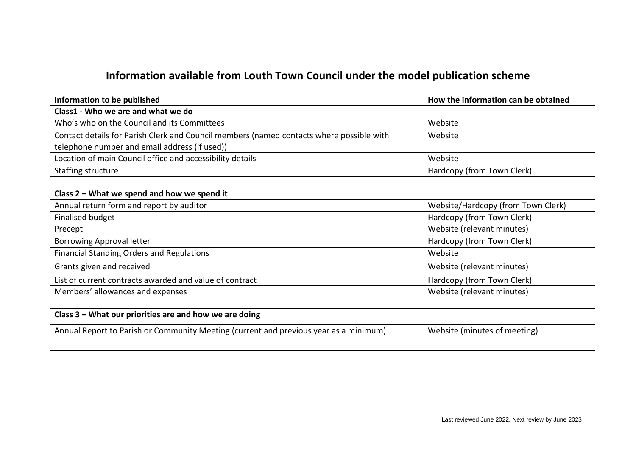## **Information available from Louth Town Council under the model publication scheme**

| Information to be published                                                              | How the information can be obtained |
|------------------------------------------------------------------------------------------|-------------------------------------|
| Class1 - Who we are and what we do                                                       |                                     |
| Who's who on the Council and its Committees                                              | Website                             |
| Contact details for Parish Clerk and Council members (named contacts where possible with | Website                             |
| telephone number and email address (if used))                                            |                                     |
| Location of main Council office and accessibility details                                | Website                             |
| Staffing structure                                                                       | Hardcopy (from Town Clerk)          |
|                                                                                          |                                     |
| Class 2 – What we spend and how we spend it                                              |                                     |
| Annual return form and report by auditor                                                 | Website/Hardcopy (from Town Clerk)  |
| Finalised budget                                                                         | Hardcopy (from Town Clerk)          |
| Precept                                                                                  | Website (relevant minutes)          |
| <b>Borrowing Approval letter</b>                                                         | Hardcopy (from Town Clerk)          |
| <b>Financial Standing Orders and Regulations</b>                                         | Website                             |
| Grants given and received                                                                | Website (relevant minutes)          |
| List of current contracts awarded and value of contract                                  | Hardcopy (from Town Clerk)          |
| Members' allowances and expenses                                                         | Website (relevant minutes)          |
|                                                                                          |                                     |
| Class 3 - What our priorities are and how we are doing                                   |                                     |
| Annual Report to Parish or Community Meeting (current and previous year as a minimum)    | Website (minutes of meeting)        |
|                                                                                          |                                     |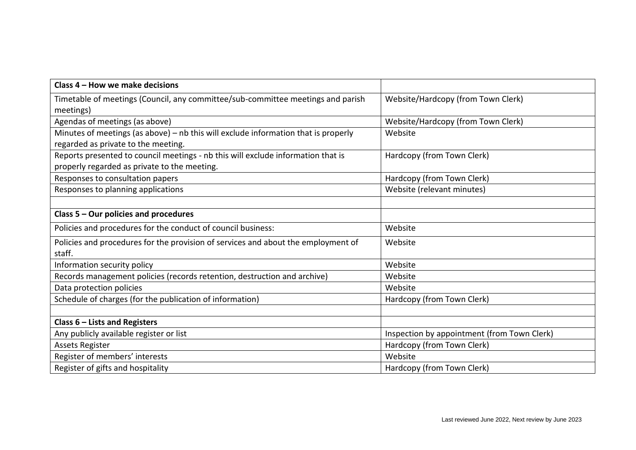| Class 4 – How we make decisions                                                    |                                             |
|------------------------------------------------------------------------------------|---------------------------------------------|
| Timetable of meetings (Council, any committee/sub-committee meetings and parish    | Website/Hardcopy (from Town Clerk)          |
| meetings)                                                                          |                                             |
| Agendas of meetings (as above)                                                     | Website/Hardcopy (from Town Clerk)          |
| Minutes of meetings (as above) - nb this will exclude information that is properly | Website                                     |
| regarded as private to the meeting.                                                |                                             |
| Reports presented to council meetings - nb this will exclude information that is   | Hardcopy (from Town Clerk)                  |
| properly regarded as private to the meeting.                                       |                                             |
| Responses to consultation papers                                                   | Hardcopy (from Town Clerk)                  |
| Responses to planning applications                                                 | Website (relevant minutes)                  |
|                                                                                    |                                             |
| Class 5 - Our policies and procedures                                              |                                             |
| Policies and procedures for the conduct of council business:                       | Website                                     |
| Policies and procedures for the provision of services and about the employment of  | Website                                     |
| staff.                                                                             |                                             |
| Information security policy                                                        | Website                                     |
| Records management policies (records retention, destruction and archive)           | Website                                     |
| Data protection policies                                                           | Website                                     |
| Schedule of charges (for the publication of information)                           | Hardcopy (from Town Clerk)                  |
|                                                                                    |                                             |
| Class $6$ – Lists and Registers                                                    |                                             |
| Any publicly available register or list                                            | Inspection by appointment (from Town Clerk) |
| <b>Assets Register</b>                                                             | Hardcopy (from Town Clerk)                  |
| Register of members' interests                                                     | Website                                     |
| Register of gifts and hospitality                                                  | Hardcopy (from Town Clerk)                  |